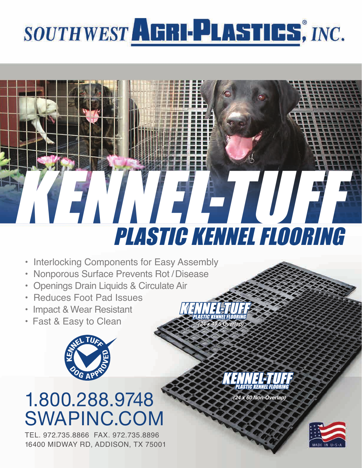# SOUTHWEST AERI-PLASTICS, INC.



- Interlocking Components for Easy Assembly
- Nonporous Surface Prevents Rot /Disease
- Openings Drain Liquids & Circulate Air
- Reduces Foot Pad Issues
- Impact & Wear Resistant
- Fast & Easy to Clean



## 1.800.288.9748 SWAPINC.COM

16400 MIDWAY RD, ADDISON, TX 75001 TEL. 972.735.8866 FAX. 972.735.8896

*(24 x 49.5 Overlap) (24 x 49.5 Overlap)*

*(24 x 60 Non-Overlap) (24 x 60 Non-Overlap)*